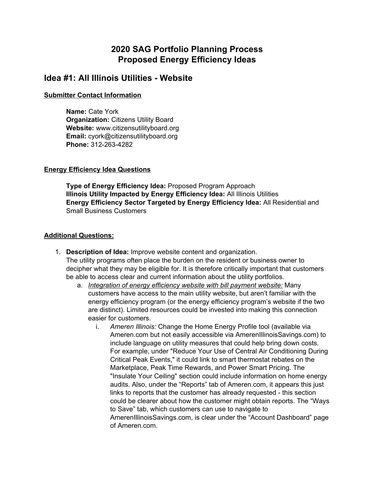# **2020 SAG Portfolio Planning Process Proposed Energy Efficiency Ideas**

# **Idea #1: All Illinois Utilities - Website**

### **Submitter Contact Information**

**Name:** Cate York **Organization:** Citizens Utility Board **Website:** www.citizensutilityboard.org **Email:** cyork@citizensutilityboard.org **Phone:** 312-263-4282

# **Energy Efficiency Idea Questions**

**Type of Energy Efficiency Idea:** Proposed Program Approach **Illinois Utility Impacted by Energy Efficiency Idea:** All Illinois Utilities **Energy Efficiency Sector Targeted by Energy Efficiency Idea:** All Residential and Small Business Customers

- 1. **Description of Idea:** Improve website content and organization. The utility programs often place the burden on the resident or business owner to decipher what they may be eligible for. It is therefore critically important that customers be able to access clear and current information about the utility portfolios.
	- a. *Integration of energy efficiency website with bill payment website:* Many customers have access to the main utility website, but aren't familiar with the energy efficiency program (or the energy efficiency program's website if the two are distinct). Limited resources could be invested into making this connection easier for customers.
		- i. *Ameren Illinois:* Change the Home Energy Profile tool (available via Ameren.com but not easily accessible via AmerenIllinoisSavings.com) to include language on utility measures that could help bring down costs. For example, under "Reduce Your Use of Central Air Conditioning During Critical Peak Events," it could link to smart thermostat rebates on the Marketplace, Peak Time Rewards, and Power Smart Pricing. The "Insulate Your Ceiling" section could include information on home energy audits. Also, under the "Reports" tab of Ameren.com, it appears this just links to reports that the customer has already requested - this section could be clearer about how the customer might obtain reports. The "Ways to Save" tab, which customers can use to navigate to AmerenIllinoisSavings.com, is clear under the "Account Dashboard" page of Ameren.com.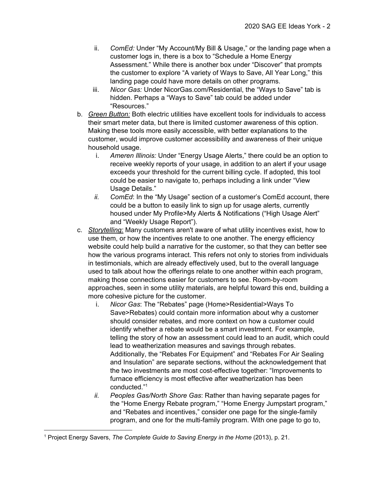- ii. *ComEd:* Under "My Account/My Bill & Usage," or the landing page when a customer logs in, there is a box to "Schedule a Home Energy Assessment." While there is another box under "Discover" that prompts the customer to explore "A variety of Ways to Save, All Year Long," this landing page could have more details on other programs.
- iii. *Nicor Gas:* Under NicorGas.com/Residential, the "Ways to Save" tab is hidden. Perhaps a "Ways to Save" tab could be added under "Resources."
- b. *Green Button:* Both electric utilities have excellent tools for individuals to access their smart meter data, but there is limited customer awareness of this option. Making these tools more easily accessible, with better explanations to the customer, would improve customer accessibility and awareness of their unique household usage.
	- i. *Ameren Illinois:* Under "Energy Usage Alerts," there could be an option to receive weekly reports of your usage, in addition to an alert if your usage exceeds your threshold for the current billing cycle. If adopted, this tool could be easier to navigate to, perhaps including a link under "View Usage Details."
	- *ii. ComEd*: In the "My Usage" section of a customer's ComEd account, there could be a button to easily link to sign up for usage alerts, currently housed under My Profile>My Alerts & Notifications ("High Usage Alert" and "Weekly Usage Report").
- c. *Storytelling:* Many customers aren't aware of what utility incentives exist, how to use them, or how the incentives relate to one another. The energy efficiency website could help build a narrative for the customer, so that they can better see how the various programs interact. This refers not only to stories from individuals in testimonials, which are already effectively used, but to the overall language used to talk about how the offerings relate to one another within each program, making those connections easier for customers to see. Room-by-room approaches, seen in some utility materials, are helpful toward this end, building a more cohesive picture for the customer.
	- i. *Nicor Gas*: The "Rebates" page (Home>Residential>Ways To Save>Rebates) could contain more information about why a customer should consider rebates, and more context on how a customer could identify whether a rebate would be a smart investment. For example, telling the story of how an assessment could lead to an audit, which could lead to weatherization measures and savings through rebates. Additionally, the "Rebates For Equipment" and "Rebates For Air Sealing and Insulation" are separate sections, without the acknowledgement that the two investments are most cost-effective together: "Improvements to furnace efficiency is most effective after weatherization has been conducted." 1
	- *ii. Peoples Gas/North Shore Gas*: Rather than having separate pages for the "Home Energy Rebate program," "Home Energy Jumpstart program," and "Rebates and incentives," consider one page for the single-family program, and one for the multi-family program. With one page to go to,

<sup>1</sup> Project Energy Savers, *The Complete Guide to Saving Energy in the Home* (2013), p. 21.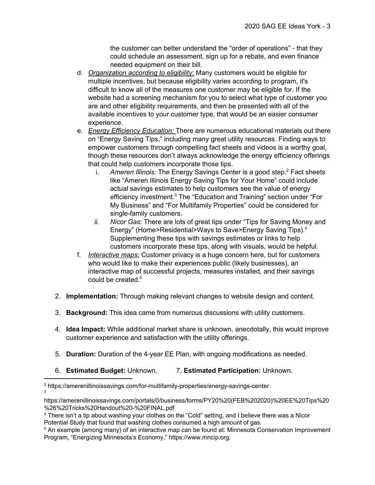the customer can better understand the "order of operations" - that they could schedule an assessment, sign up for a rebate, and even finance needed equipment on their bill.

- d. *Organization according to eligibility:* Many customers would be eligible for multiple incentives, but because eligibility varies according to program, it's difficult to know all of the measures one customer may be eligible for. If the website had a screening mechanism for you to select what type of customer you are and other eligibility requirements, and then be presented with all of the available incentives to your customer type, that would be an easier consumer experience.
- e. *Energy Efficiency Education:* There are numerous educational materials out there on "Energy Saving Tips," including many great utility resources. Finding ways to empower customers through compelling fact sheets and videos is a worthy goal, though these resources don't always acknowledge the energy efficiency offerings that could help customers incorporate those tips.
	- i. Ameren Illinois: The Energy Savings Center is a good step.<sup>2</sup> Fact sheets like "Ameren Illinois Energy Saving Tips for Your Home" could include actual savings estimates to help customers see the value of energy efficiency investment.<sup>3</sup> The "Education and Training" section under "For My Business" and "For Multifamily Properties" could be considered for single-family customers.
	- *ii. Nicor Gas*: There are lots of great tips under "Tips for Saving Money and Energy" (Home>Residential>Ways to Save>Energy Saving Tips).<sup>4</sup> Supplementing these tips with savings estimates or links to help customers incorporate these tips, along with visuals, would be helpful.
- f. *Interactive maps:* Customer privacy is a huge concern here, but for customers who would like to make their experiences public (likely businesses), an interactive map of successful projects, measures installed, and their savings could be created. 5
- 2. **Implementation:** Through making relevant changes to website design and content.
- 3. **Background:** This idea came from numerous discussions with utility customers.
- 4. **Idea Impact:** While additional market share is unknown, anecdotally, this would improve customer experience and satisfaction with the utility offerings.
- 5. **Duration:** Duration of the 4-year EE Plan, with ongoing modifications as needed.
- 6. **Estimated Budget:** Unknown. 7**. Estimated Participation:** Unknown.

<sup>2</sup> https://amerenillinoissavings.com/for-multifamily-properties/energy-savings-center 3

https://amerenillinoissavings.com/portals/0/business/forms/PY20%20(FEB%202020)%20EE%20Tips%20 %26%20Tricks%20Handout%20-%20FINAL.pdf

<sup>4</sup> There isn't a tip about washing your clothes on the "Cold" setting, and I believe there was a Nicor Potential Study that found that washing clothes consumed a high amount of gas.

<sup>5</sup> An example (among many) of an interactive map can be found at: Minnesota Conservation Improvement Program, "Energizing Minnesota's Economy," https://www.mncip.org.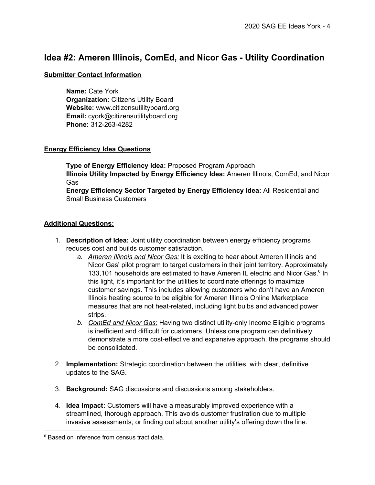# **Idea #2: Ameren Illinois, ComEd, and Nicor Gas - Utility Coordination**

# **Submitter Contact Information**

**Name:** Cate York **Organization:** Citizens Utility Board **Website:** www.citizensutilityboard.org **Email:** cyork@citizensutilityboard.org **Phone:** 312-263-4282

### **Energy Efficiency Idea Questions**

**Type of Energy Efficiency Idea:** Proposed Program Approach **Illinois Utility Impacted by Energy Efficiency Idea:** Ameren Illinois, ComEd, and Nicor Gas

**Energy Efficiency Sector Targeted by Energy Efficiency Idea:** All Residential and Small Business Customers

- 1. **Description of Idea:** Joint utility coordination between energy efficiency programs reduces cost and builds customer satisfaction.
	- *a. Ameren Illinois and Nicor Gas:* It is exciting to hear about Ameren Illinois and Nicor Gas' pilot program to target customers in their joint territory. Approximately 133,101 households are estimated to have Ameren IL electric and Nicor Gas.<sup>6</sup> In this light, it's important for the utilities to coordinate offerings to maximize customer savings. This includes allowing customers who don't have an Ameren Illinois heating source to be eligible for Ameren Illinois Online Marketplace measures that are not heat-related, including light bulbs and advanced power strips.
	- *b. ComEd and Nicor Gas*: Having two distinct utility-only Income Eligible programs is inefficient and difficult for customers. Unless one program can definitively demonstrate a more cost-effective and expansive approach, the programs should be consolidated.
- 2. **Implementation:** Strategic coordination between the utilities, with clear, definitive updates to the SAG.
- 3. **Background:** SAG discussions and discussions among stakeholders.
- 4. **Idea Impact:** Customers will have a measurably improved experience with a streamlined, thorough approach. This avoids customer frustration due to multiple invasive assessments, or finding out about another utility's offering down the line.

<sup>&</sup>lt;sup>6</sup> Based on inference from census tract data.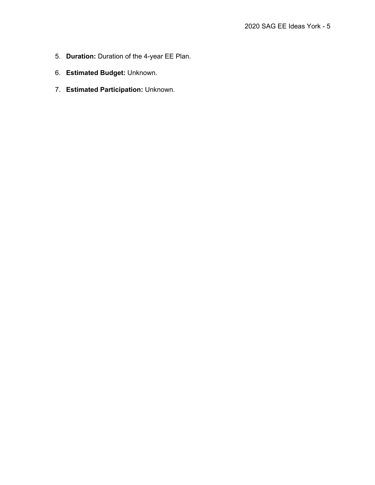- 5. **Duration:** Duration of the 4-year EE Plan.
- 6. **Estimated Budget:** Unknown.
- 7. **Estimated Participation:** Unknown.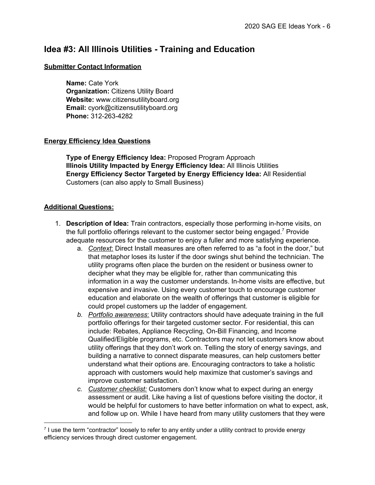# **Idea #3: All Illinois Utilities - Training and Education**

#### **Submitter Contact Information**

**Name:** Cate York **Organization:** Citizens Utility Board **Website:** www.citizensutilityboard.org **Email:** cyork@citizensutilityboard.org **Phone:** 312-263-4282

### **Energy Efficiency Idea Questions**

**Type of Energy Efficiency Idea:** Proposed Program Approach **Illinois Utility Impacted by Energy Efficiency Idea:** All Illinois Utilities **Energy Efficiency Sector Targeted by Energy Efficiency Idea:** All Residential Customers (can also apply to Small Business)

- 1. **Description of Idea:** Train contractors, especially those performing in-home visits, on the full portfolio offerings relevant to the customer sector being engaged.<sup>7</sup> Provide adequate resources for the customer to enjoy a fuller and more satisfying experience.
	- a. *Context*: Direct Install measures are often referred to as "a foot in the door," but that metaphor loses its luster if the door swings shut behind the technician. The utility programs often place the burden on the resident or business owner to decipher what they may be eligible for, rather than communicating this information in a way the customer understands. In-home visits are effective, but expensive and invasive. Using every customer touch to encourage customer education and elaborate on the wealth of offerings that customer is eligible for could propel customers up the ladder of engagement.
	- *b. Portfolio awareness*: Utility contractors should have adequate training in the full portfolio offerings for their targeted customer sector. For residential, this can include: Rebates, Appliance Recycling, On-Bill Financing, and Income Qualified/Eligible programs, etc. Contractors may not let customers know about utility offerings that they don't work on. Telling the story of energy savings, and building a narrative to connect disparate measures, can help customers better understand what their options are. Encouraging contractors to take a holistic approach with customers would help maximize that customer's savings and improve customer satisfaction.
	- *c. Customer checklist:* Customers don't know what to expect during an energy assessment or audit. Like having a list of questions before visiting the doctor, it would be helpful for customers to have better information on what to expect, ask, and follow up on. While I have heard from many utility customers that they were

<sup>7</sup> I use the term "contractor" loosely to refer to any entity under a utility contract to provide energy efficiency services through direct customer engagement.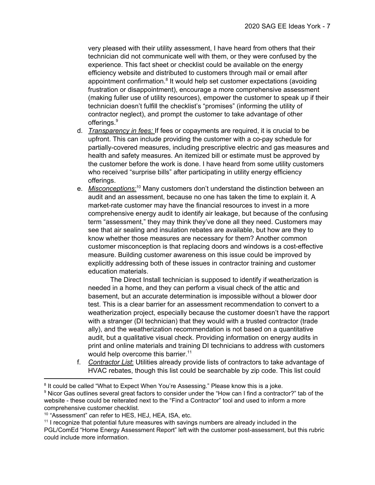very pleased with their utility assessment, I have heard from others that their technician did not communicate well with them, or they were confused by the experience. This fact sheet or checklist could be available on the energy efficiency website and distributed to customers through mail or email after appointment confirmation. $8$  It would help set customer expectations (avoiding frustration or disappointment), encourage a more comprehensive assessment (making fuller use of utility resources), empower the customer to speak up if their technician doesn't fulfill the checklist's "promises" (informing the utility of contractor neglect), and prompt the customer to take advantage of other offerings. 9

- d. *Transparency in fees:* If fees or copayments are required, it is crucial to be upfront. This can include providing the customer with a co-pay schedule for partially-covered measures, including prescriptive electric and gas measures and health and safety measures. An itemized bill or estimate must be approved by the customer before the work is done. I have heard from some utility customers who received "surprise bills" after participating in utility energy efficiency offerings.
- e. *Misconceptions:*<sup>10</sup> Many customers don't understand the distinction between an audit and an assessment, because no one has taken the time to explain it. A market-rate customer may have the financial resources to invest in a more comprehensive energy audit to identify air leakage, but because of the confusing term "assessment," they may think they've done all they need. Customers may see that air sealing and insulation rebates are available, but how are they to know whether those measures are necessary for them? Another common customer misconception is that replacing doors and windows is a cost-effective measure. Building customer awareness on this issue could be improved by explicitly addressing both of these issues in contractor training and customer education materials.

The Direct Install technician is supposed to identify if weatherization is needed in a home, and they can perform a visual check of the attic and basement, but an accurate determination is impossible without a blower door test. This is a clear barrier for an assessment recommendation to convert to a weatherization project, especially because the customer doesn't have the rapport with a stranger (DI technician) that they would with a trusted contractor (trade ally), and the weatherization recommendation is not based on a quantitative audit, but a qualitative visual check. Providing information on energy audits in print and online materials and training DI technicians to address with customers would help overcome this barrier.<sup>11</sup>

f. *Contractor List*: Utilities already provide lists of contractors to take advantage of HVAC rebates, though this list could be searchable by zip code. This list could

<sup>&</sup>lt;sup>8</sup> It could be called "What to Expect When You're Assessing." Please know this is a joke.

<sup>9</sup> Nicor Gas outlines several great factors to consider under the "How can I find a contractor?" tab of the website - these could be reiterated next to the "Find a Contractor" tool and used to inform a more comprehensive customer checklist.

<sup>10</sup> "Assessment" can refer to HES, HEJ, HEA, ISA, etc.

 $11$  I recognize that potential future measures with savings numbers are already included in the PGL/ComEd "Home Energy Assessment Report" left with the customer post-assessment, but this rubric could include more information.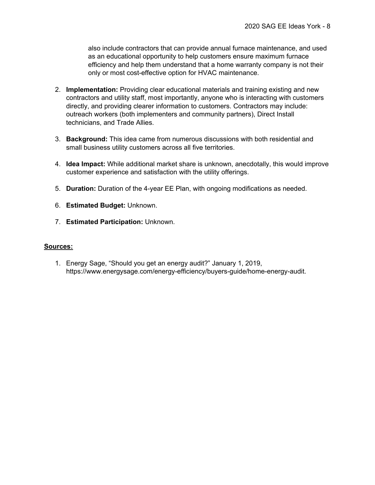also include contractors that can provide annual furnace maintenance, and used as an educational opportunity to help customers ensure maximum furnace efficiency and help them understand that a home warranty company is not their only or most cost-effective option for HVAC maintenance.

- 2. **Implementation:** Providing clear educational materials and training existing and new contractors and utility staff, most importantly, anyone who is interacting with customers directly, and providing clearer information to customers. Contractors may include: outreach workers (both implementers and community partners), Direct Install technicians, and Trade Allies.
- 3. **Background:** This idea came from numerous discussions with both residential and small business utility customers across all five territories.
- 4. **Idea Impact:** While additional market share is unknown, anecdotally, this would improve customer experience and satisfaction with the utility offerings.
- 5. **Duration:** Duration of the 4-year EE Plan, with ongoing modifications as needed.
- 6. **Estimated Budget:** Unknown.
- 7. **Estimated Participation:** Unknown.

### **Sources:**

1. Energy Sage, "Should you get an energy audit?" January 1, 2019, https://www.energysage.com/energy-efficiency/buyers-guide/home-energy-audit.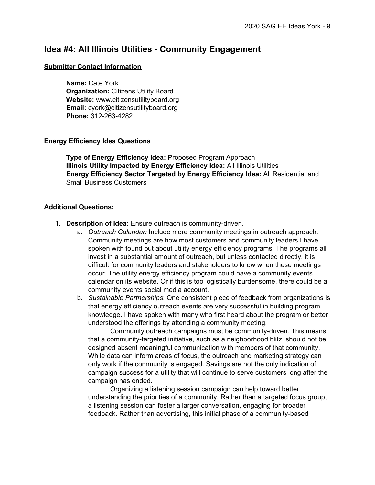# **Idea #4: All Illinois Utilities - Community Engagement**

#### **Submitter Contact Information**

**Name:** Cate York **Organization:** Citizens Utility Board **Website:** www.citizensutilityboard.org **Email:** cyork@citizensutilityboard.org **Phone:** 312-263-4282

#### **Energy Efficiency Idea Questions**

**Type of Energy Efficiency Idea:** Proposed Program Approach **Illinois Utility Impacted by Energy Efficiency Idea:** All Illinois Utilities **Energy Efficiency Sector Targeted by Energy Efficiency Idea:** All Residential and Small Business Customers

#### **Additional Questions:**

- 1. **Description of Idea:** Ensure outreach is community-driven.
	- a. *Outreach Calendar:* Include more community meetings in outreach approach. Community meetings are how most customers and community leaders I have spoken with found out about utility energy efficiency programs. The programs all invest in a substantial amount of outreach, but unless contacted directly, it is difficult for community leaders and stakeholders to know when these meetings occur. The utility energy efficiency program could have a community events calendar on its website. Or if this is too logistically burdensome, there could be a community events social media account.
	- b. *Sustainable Partnerships*: One consistent piece of feedback from organizations is that energy efficiency outreach events are very successful in building program knowledge. I have spoken with many who first heard about the program or better understood the offerings by attending a community meeting.

Community outreach campaigns must be community-driven. This means that a community-targeted initiative, such as a neighborhood blitz, should not be designed absent meaningful communication with members of that community. While data can inform areas of focus, the outreach and marketing strategy can only work if the community is engaged. Savings are not the only indication of campaign success for a utility that will continue to serve customers long after the campaign has ended.

Organizing a listening session campaign can help toward better understanding the priorities of a community. Rather than a targeted focus group, a listening session can foster a larger conversation, engaging for broader feedback. Rather than advertising, this initial phase of a community-based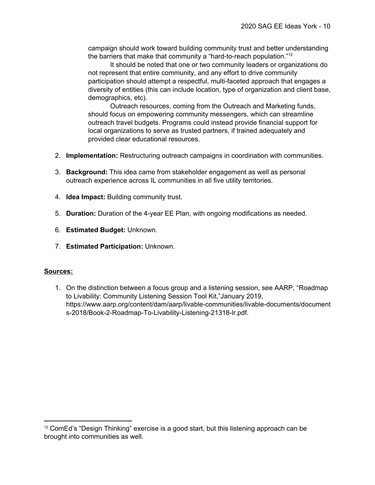campaign should work toward building community trust and better understanding the barriers that make that community a "hard-to-reach population."<sup>12</sup>

It should be noted that one or two community leaders or organizations do not represent that entire community, and any effort to drive community participation should attempt a respectful, multi-faceted approach that engages a diversity of entities (this can include location, type of organization and client base, demographics, etc).

Outreach resources, coming from the Outreach and Marketing funds, should focus on empowering community messengers, which can streamline outreach travel budgets. Programs could instead provide financial support for local organizations to serve as trusted partners, if trained adequately and provided clear educational resources.

- 2. **Implementation:** Restructuring outreach campaigns in coordination with communities.
- 3. **Background:** This idea came from stakeholder engagement as well as personal outreach experience across IL communities in all five utility territories.
- 4. **Idea Impact:** Building community trust.
- 5. **Duration:** Duration of the 4-year EE Plan, with ongoing modifications as needed.
- 6. **Estimated Budget:** Unknown.
- 7. **Estimated Participation:** Unknown.

### **Sources:**

1. On the distinction between a focus group and a listening session, see AARP, "Roadmap to Livability: Community Listening Session Tool Kit,"January 2019, https://www.aarp.org/content/dam/aarp/livable-communities/livable-documents/document s-2018/Book-2-Roadmap-To-Livability-Listening-21318-lr.pdf.

 $12$  ComEd's "Design Thinking" exercise is a good start, but this listening approach can be brought into communities as well.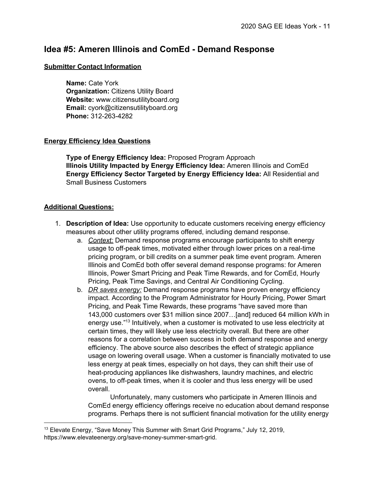# **Idea #5: Ameren Illinois and ComEd - Demand Response**

#### **Submitter Contact Information**

**Name:** Cate York **Organization:** Citizens Utility Board **Website:** www.citizensutilityboard.org **Email:** cyork@citizensutilityboard.org **Phone:** 312-263-4282

### **Energy Efficiency Idea Questions**

**Type of Energy Efficiency Idea:** Proposed Program Approach **Illinois Utility Impacted by Energy Efficiency Idea:** Ameren Illinois and ComEd **Energy Efficiency Sector Targeted by Energy Efficiency Idea:** All Residential and Small Business Customers

#### **Additional Questions:**

- 1. **Description of Idea:** Use opportunity to educate customers receiving energy efficiency measures about other utility programs offered, including demand response.
	- a. *Context:* Demand response programs encourage participants to shift energy usage to off-peak times, motivated either through lower prices on a real-time pricing program, or bill credits on a summer peak time event program. Ameren Illinois and ComEd both offer several demand response programs: for Ameren Illinois, Power Smart Pricing and Peak Time Rewards, and for ComEd, Hourly Pricing, Peak Time Savings, and Central Air Conditioning Cycling.
	- b. *DR saves energy:* Demand response programs have proven energy efficiency impact. According to the Program Administrator for Hourly Pricing, Power Smart Pricing, and Peak Time Rewards, these programs "have saved more than 143,000 customers over \$31 million since 2007…[and] reduced 64 million kWh in energy use."<sup>13</sup> Intuitively, when a customer is motivated to use less electricity at certain times, they will likely use less electricity overall. But there are other reasons for a correlation between success in both demand response and energy efficiency. The above source also describes the effect of strategic appliance usage on lowering overall usage. When a customer is financially motivated to use less energy at peak times, especially on hot days, they can shift their use of heat-producing appliances like dishwashers, laundry machines, and electric ovens, to off-peak times, when it is cooler and thus less energy will be used overall.

Unfortunately, many customers who participate in Ameren Illinois and ComEd energy efficiency offerings receive no education about demand response programs. Perhaps there is not sufficient financial motivation for the utility energy

<sup>&</sup>lt;sup>13</sup> Elevate Energy, "Save Money This Summer with Smart Grid Programs," July 12, 2019, https://www.elevateenergy.org/save-money-summer-smart-grid.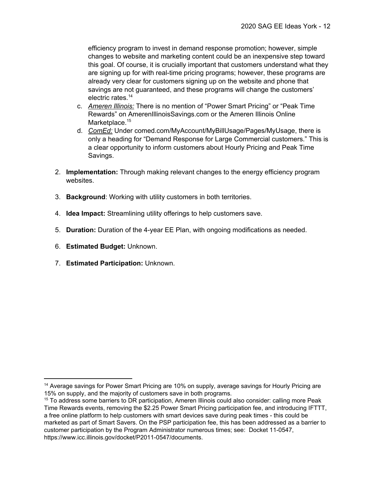efficiency program to invest in demand response promotion; however, simple changes to website and marketing content could be an inexpensive step toward this goal. Of course, it is crucially important that customers understand what they are signing up for with real-time pricing programs; however, these programs are already very clear for customers signing up on the website and phone that savings are not guaranteed, and these programs will change the customers' electric rates. 14

- c. *Ameren Illinois:* There is no mention of "Power Smart Pricing" or "Peak Time Rewards" on AmerenIllinoisSavings.com or the Ameren Illinois Online Marketplace.<sup>15</sup>
- d. *ComEd:* Under comed.com/MyAccount/MyBillUsage/Pages/MyUsage, there is only a heading for "Demand Response for Large Commercial customers." This is a clear opportunity to inform customers about Hourly Pricing and Peak Time Savings.
- 2. **Implementation:** Through making relevant changes to the energy efficiency program websites.
- 3. **Background**: Working with utility customers in both territories.
- 4. **Idea Impact:** Streamlining utility offerings to help customers save.
- 5. **Duration:** Duration of the 4-year EE Plan, with ongoing modifications as needed.
- 6. **Estimated Budget:** Unknown.
- 7. **Estimated Participation:** Unknown.

<sup>&</sup>lt;sup>14</sup> Average savings for Power Smart Pricing are 10% on supply, average savings for Hourly Pricing are 15% on supply, and the majority of customers save in both programs.

<sup>15</sup> To address some barriers to DR participation, Ameren Illinois could also consider: calling more Peak Time Rewards events, removing the \$2.25 Power Smart Pricing participation fee, and introducing IFTTT, a free online platform to help customers with smart devices save during peak times - this could be marketed as part of Smart Savers. On the PSP participation fee, this has been addressed as a barrier to customer participation by the Program Administrator numerous times; see: Docket 11-0547, https://www.icc.illinois.gov/docket/P2011-0547/documents.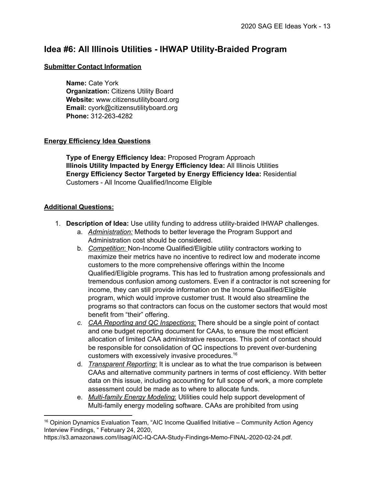# **Idea #6: All Illinois Utilities - IHWAP Utility-Braided Program**

### **Submitter Contact Information**

**Name:** Cate York **Organization:** Citizens Utility Board **Website:** www.citizensutilityboard.org **Email:** cyork@citizensutilityboard.org **Phone:** 312-263-4282

# **Energy Efficiency Idea Questions**

**Type of Energy Efficiency Idea:** Proposed Program Approach **Illinois Utility Impacted by Energy Efficiency Idea:** All Illinois Utilities **Energy Efficiency Sector Targeted by Energy Efficiency Idea:** Residential Customers - All Income Qualified/Income Eligible

- 1. **Description of Idea:** Use utility funding to address utility-braided IHWAP challenges.
	- a. *Administration:* Methods to better leverage the Program Support and Administration cost should be considered.
	- b. *Competition*: Non-Income Qualified/Eligible utility contractors working to maximize their metrics have no incentive to redirect low and moderate income customers to the more comprehensive offerings within the Income Qualified/Eligible programs. This has led to frustration among professionals and tremendous confusion among customers. Even if a contractor is not screening for income, they can still provide information on the Income Qualified/Eligible program, which would improve customer trust. It would also streamline the programs so that contractors can focus on the customer sectors that would most benefit from "their" offering.
	- *c. CAA Reporting and QC Inspections*: There should be a single point of contact and one budget reporting document for CAAs, to ensure the most efficient allocation of limited CAA administrative resources. This point of contact should be responsible for consolidation of QC inspections to prevent over-burdening customers with excessively invasive procedures. 16
	- d. *Transparent Reporting*: It is unclear as to what the true comparison is between CAAs and alternative community partners in terms of cost efficiency. With better data on this issue, including accounting for full scope of work, a more complete assessment could be made as to where to allocate funds.
	- e. *Multi-family Energy Modeling*: Utilities could help support development of Multi-family energy modeling software. CAAs are prohibited from using

<sup>&</sup>lt;sup>16</sup> Opinion Dynamics Evaluation Team, "AIC Income Qualified Initiative – Community Action Agency Interview Findings, " February 24, 2020,

https://s3.amazonaws.com/ilsag/AIC-IQ-CAA-Study-Findings-Memo-FINAL-2020-02-24.pdf.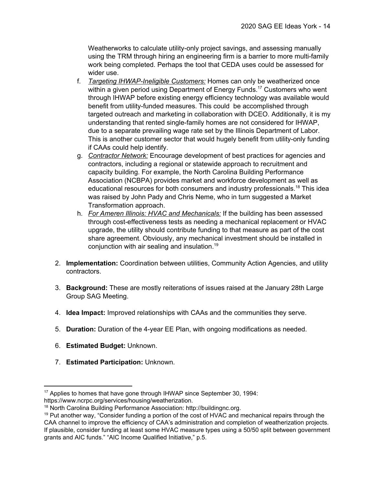Weatherworks to calculate utility-only project savings, and assessing manually using the TRM through hiring an engineering firm is a barrier to more multi-family work being completed. Perhaps the tool that CEDA uses could be assessed for wider use.

- f. *Targeting IHWAP-Ineligible Customers:* Homes can only be weatherized once within a given period using Department of Energy Funds.<sup>17</sup> Customers who went through IHWAP before existing energy efficiency technology was available would benefit from utility-funded measures. This could be accomplished through targeted outreach and marketing in collaboration with DCEO. Additionally, it is my understanding that rented single-family homes are not considered for IHWAP, due to a separate prevailing wage rate set by the Illinois Department of Labor. This is another customer sector that would hugely benefit from utility-only funding if CAAs could help identify.
- g. *Contractor Network:* Encourage development of best practices for agencies and contractors, including a regional or statewide approach to recruitment and capacity building. For example, the North Carolina Building Performance Association (NCBPA) provides market and workforce development as well as educational resources for both consumers and industry professionals.<sup>18</sup> This idea was raised by John Pady and Chris Neme, who in turn suggested a Market Transformation approach.
- h. *For Ameren Illinois: HVAC and Mechanicals:* If the building has been assessed through cost-effectiveness tests as needing a mechanical replacement or HVAC upgrade, the utility should contribute funding to that measure as part of the cost share agreement. Obviously, any mechanical investment should be installed in conjunction with air sealing and insulation. 19
- 2. **Implementation:** Coordination between utilities, Community Action Agencies, and utility contractors.
- 3. **Background:** These are mostly reiterations of issues raised at the January 28th Large Group SAG Meeting.
- 4. **Idea Impact:** Improved relationships with CAAs and the communities they serve.
- 5. **Duration:** Duration of the 4-year EE Plan, with ongoing modifications as needed.
- 6. **Estimated Budget:** Unknown.
- 7. **Estimated Participation:** Unknown.

<sup>&</sup>lt;sup>17</sup> Applies to homes that have gone through IHWAP since September 30, 1994: https://www.ncrpc.org/services/housing/weatherization.

<sup>18</sup> North Carolina Building Performance Association: http://buildingnc.org.

 $19$  Put another way, "Consider funding a portion of the cost of HVAC and mechanical repairs through the CAA channel to improve the efficiency of CAA's administration and completion of weatherization projects. If plausible, consider funding at least some HVAC measure types using a 50/50 split between government grants and AIC funds." "AIC Income Qualified Initiative," p.5.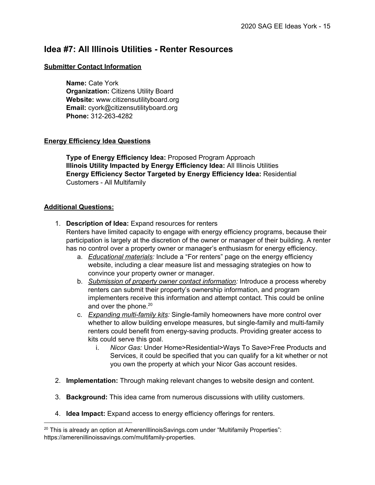# **Idea #7: All Illinois Utilities - Renter Resources**

### **Submitter Contact Information**

**Name:** Cate York **Organization:** Citizens Utility Board **Website:** www.citizensutilityboard.org **Email:** cyork@citizensutilityboard.org **Phone:** 312-263-4282

# **Energy Efficiency Idea Questions**

**Type of Energy Efficiency Idea:** Proposed Program Approach **Illinois Utility Impacted by Energy Efficiency Idea:** All Illinois Utilities **Energy Efficiency Sector Targeted by Energy Efficiency Idea:** Residential Customers - All Multifamily

- 1. **Description of Idea:** Expand resources for renters Renters have limited capacity to engage with energy efficiency programs, because their participation is largely at the discretion of the owner or manager of their building. A renter has no control over a property owner or manager's enthusiasm for energy efficiency.
	- a. *Educational materials:* Include a "For renters" page on the energy efficiency website, including a clear measure list and messaging strategies on how to convince your property owner or manager.
	- b. *Submission of property owner contact information:* Introduce a process whereby renters can submit their property's ownership information, and program implementers receive this information and attempt contact. This could be online and over the phone.<sup>20</sup>
	- c. *Expanding multi-family kits:* Single-family homeowners have more control over whether to allow building envelope measures, but single-family and multi-family renters could benefit from energy-saving products. Providing greater access to kits could serve this goal.
		- i. *Nicor Gas:* Under Home>Residential>Ways To Save>Free Products and Services, it could be specified that you can qualify for a kit whether or not you own the property at which your Nicor Gas account resides.
- 2. **Implementation:** Through making relevant changes to website design and content.
- 3. **Background:** This idea came from numerous discussions with utility customers.
- 4. **Idea Impact:** Expand access to energy efficiency offerings for renters.

<sup>&</sup>lt;sup>20</sup> This is already an option at AmerenIllinoisSavings.com under "Multifamily Properties": https://amerenillinoissavings.com/multifamily-properties.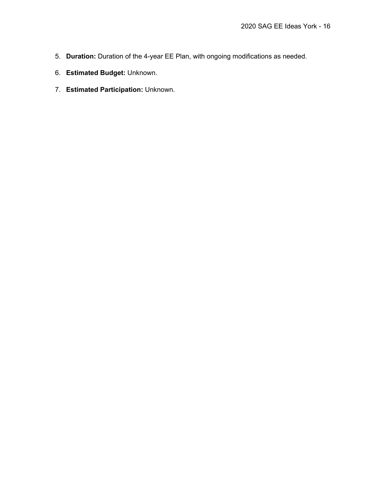- 5. **Duration:** Duration of the 4-year EE Plan, with ongoing modifications as needed.
- 6. **Estimated Budget:** Unknown.
- 7. **Estimated Participation:** Unknown.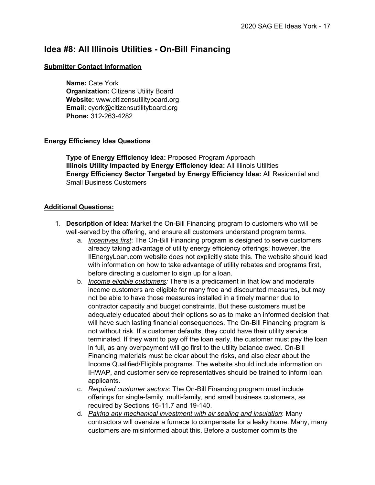# **Idea #8: All Illinois Utilities - On-Bill Financing**

### **Submitter Contact Information**

**Name:** Cate York **Organization:** Citizens Utility Board **Website:** www.citizensutilityboard.org **Email:** cyork@citizensutilityboard.org **Phone:** 312-263-4282

# **Energy Efficiency Idea Questions**

**Type of Energy Efficiency Idea:** Proposed Program Approach **Illinois Utility Impacted by Energy Efficiency Idea:** All Illinois Utilities **Energy Efficiency Sector Targeted by Energy Efficiency Idea:** All Residential and Small Business Customers

- 1. **Description of Idea:** Market the On-Bill Financing program to customers who will be well-served by the offering, and ensure all customers understand program terms.
	- a. *Incentives first*: The On-Bill Financing program is designed to serve customers already taking advantage of utility energy efficiency offerings; however, the IlEnergyLoan.com website does not explicitly state this. The website should lead with information on how to take advantage of utility rebates and programs first, before directing a customer to sign up for a loan.
	- b. *Income eligible customers:* There is a predicament in that low and moderate income customers are eligible for many free and discounted measures, but may not be able to have those measures installed in a timely manner due to contractor capacity and budget constraints. But these customers must be adequately educated about their options so as to make an informed decision that will have such lasting financial consequences. The On-Bill Financing program is not without risk. If a customer defaults, they could have their utility service terminated. If they want to pay off the loan early, the customer must pay the loan in full, as any overpayment will go first to the utility balance owed. On-Bill Financing materials must be clear about the risks, and also clear about the Income Qualified/Eligible programs. The website should include information on IHWAP, and customer service representatives should be trained to inform loan applicants.
	- c. *Required customer sectors*: The On-Bill Financing program must include offerings for single-family, multi-family, and small business customers, as required by Sections 16-11.7 and 19-140.
	- d. *Pairing any mechanical investment with air sealing and insulation*: Many contractors will oversize a furnace to compensate for a leaky home. Many, many customers are misinformed about this. Before a customer commits the